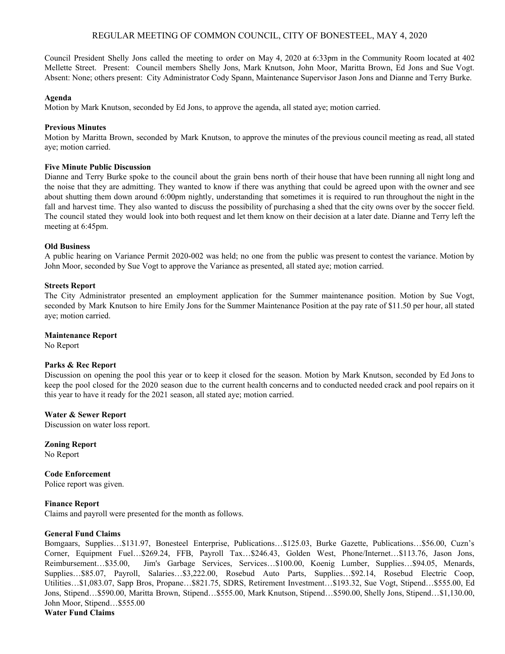# REGULAR MEETING OF COMMON COUNCIL, CITY OF BONESTEEL, MAY 4, 2020

Council President Shelly Jons called the meeting to order on May 4, 2020 at 6:33pm in the Community Room located at 402 Mellette Street. Present: Council members Shelly Jons, Mark Knutson, John Moor, Maritta Brown, Ed Jons and Sue Vogt. Absent: None; others present: City Administrator Cody Spann, Maintenance Supervisor Jason Jons and Dianne and Terry Burke.

### **Agenda**

Motion by Mark Knutson, seconded by Ed Jons, to approve the agenda, all stated aye; motion carried.

### **Previous Minutes**

Motion by Maritta Brown, seconded by Mark Knutson, to approve the minutes of the previous council meeting as read, all stated aye; motion carried.

### **Five Minute Public Discussion**

Dianne and Terry Burke spoke to the council about the grain bens north of their house that have been running all night long and the noise that they are admitting. They wanted to know if there was anything that could be agreed upon with the owner and see about shutting them down around 6:00pm nightly, understanding that sometimes it is required to run throughout the night in the fall and harvest time. They also wanted to discuss the possibility of purchasing a shed that the city owns over by the soccer field. The council stated they would look into both request and let them know on their decision at a later date. Dianne and Terry left the meeting at 6:45pm.

### **Old Business**

A public hearing on Variance Permit 2020-002 was held; no one from the public was present to contest the variance. Motion by John Moor, seconded by Sue Vogt to approve the Variance as presented, all stated aye; motion carried.

### **Streets Report**

The City Administrator presented an employment application for the Summer maintenance position. Motion by Sue Vogt, seconded by Mark Knutson to hire Emily Jons for the Summer Maintenance Position at the pay rate of \$11.50 per hour, all stated aye; motion carried.

#### **Maintenance Report**

No Report

#### **Parks & Rec Report**

Discussion on opening the pool this year or to keep it closed for the season. Motion by Mark Knutson, seconded by Ed Jons to keep the pool closed for the 2020 season due to the current health concerns and to conducted needed crack and pool repairs on it this year to have it ready for the 2021 season, all stated aye; motion carried.

# **Water & Sewer Report**

Discussion on water loss report.

**Zoning Report** No Report

**Code Enforcement** Police report was given.

# **Finance Report**

Claims and payroll were presented for the month as follows.

#### **General Fund Claims**

Bomgaars, Supplies…\$131.97, Bonesteel Enterprise, Publications…\$125.03, Burke Gazette, Publications…\$56.00, Cuzn's Corner, Equipment Fuel…\$269.24, FFB, Payroll Tax…\$246.43, Golden West, Phone/Internet…\$113.76, Jason Jons, Reimbursement…\$35.00, Jim's Garbage Services, Services…\$100.00, Koenig Lumber, Supplies…\$94.05, Menards, Supplies…\$85.07, Payroll, Salaries…\$3,222.00, Rosebud Auto Parts, Supplies…\$92.14, Rosebud Electric Coop, Utilities…\$1,083.07, Sapp Bros, Propane…\$821.75, SDRS, Retirement Investment…\$193.32, Sue Vogt, Stipend…\$555.00, Ed Jons, Stipend…\$590.00, Maritta Brown, Stipend…\$555.00, Mark Knutson, Stipend…\$590.00, Shelly Jons, Stipend…\$1,130.00, John Moor, Stipend…\$555.00 **Water Fund Claims**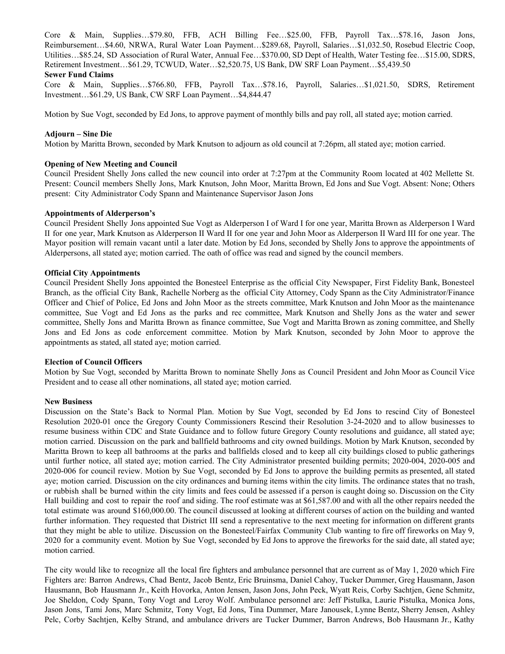Core & Main, Supplies…\$79.80, FFB, ACH Billing Fee…\$25.00, FFB, Payroll Tax…\$78.16, Jason Jons, Reimbursement…\$4.60, NRWA, Rural Water Loan Payment…\$289.68, Payroll, Salaries…\$1,032.50, Rosebud Electric Coop, Utilities…\$85.24, SD Association of Rural Water, Annual Fee…\$370.00, SD Dept of Health, Water Testing fee…\$15.00, SDRS, Retirement Investment…\$61.29, TCWUD, Water…\$2,520.75, US Bank, DW SRF Loan Payment…\$5,439.50

#### **Sewer Fund Claims**

Core & Main, Supplies…\$766.80, FFB, Payroll Tax…\$78.16, Payroll, Salaries…\$1,021.50, SDRS, Retirement Investment…\$61.29, US Bank, CW SRF Loan Payment…\$4,844.47

Motion by Sue Vogt, seconded by Ed Jons, to approve payment of monthly bills and pay roll, all stated aye; motion carried.

### **Adjourn – Sine Die**

Motion by Maritta Brown, seconded by Mark Knutson to adjourn as old council at 7:26pm, all stated aye; motion carried.

# **Opening of New Meeting and Council**

Council President Shelly Jons called the new council into order at 7:27pm at the Community Room located at 402 Mellette St. Present: Council members Shelly Jons, Mark Knutson, John Moor, Maritta Brown, Ed Jons and Sue Vogt. Absent: None; Others present: City Administrator Cody Spann and Maintenance Supervisor Jason Jons

### **Appointments of Alderperson's**

Council President Shelly Jons appointed Sue Vogt as Alderperson I of Ward I for one year, Maritta Brown as Alderperson I Ward II for one year, Mark Knutson as Alderperson II Ward II for one year and John Moor as Alderperson II Ward III for one year. The Mayor position will remain vacant until a later date. Motion by Ed Jons, seconded by Shelly Jons to approve the appointments of Alderpersons, all stated aye; motion carried. The oath of office was read and signed by the council members.

### **Official City Appointments**

Council President Shelly Jons appointed the Bonesteel Enterprise as the official City Newspaper, First Fidelity Bank, Bonesteel Branch, as the official City Bank, Rachelle Norberg as the official City Attorney, Cody Spann as the City Administrator/Finance Officer and Chief of Police, Ed Jons and John Moor as the streets committee, Mark Knutson and John Moor as the maintenance committee, Sue Vogt and Ed Jons as the parks and rec committee, Mark Knutson and Shelly Jons as the water and sewer committee, Shelly Jons and Maritta Brown as finance committee, Sue Vogt and Maritta Brown as zoning committee, and Shelly Jons and Ed Jons as code enforcement committee. Motion by Mark Knutson, seconded by John Moor to approve the appointments as stated, all stated aye; motion carried.

# **Election of Council Officers**

Motion by Sue Vogt, seconded by Maritta Brown to nominate Shelly Jons as Council President and John Moor as Council Vice President and to cease all other nominations, all stated aye; motion carried.

# **New Business**

Discussion on the State's Back to Normal Plan. Motion by Sue Vogt, seconded by Ed Jons to rescind City of Bonesteel Resolution 2020-01 once the Gregory County Commissioners Rescind their Resolution 3-24-2020 and to allow businesses to resume business within CDC and State Guidance and to follow future Gregory County resolutions and guidance, all stated aye; motion carried. Discussion on the park and ballfield bathrooms and city owned buildings. Motion by Mark Knutson, seconded by Maritta Brown to keep all bathrooms at the parks and ballfields closed and to keep all city buildings closed to public gatherings until further notice, all stated aye; motion carried. The City Administrator presented building permits; 2020-004, 2020-005 and 2020-006 for council review. Motion by Sue Vogt, seconded by Ed Jons to approve the building permits as presented, all stated aye; motion carried. Discussion on the city ordinances and burning items within the city limits. The ordinance states that no trash, or rubbish shall be burned within the city limits and fees could be assessed if a person is caught doing so. Discussion on the City Hall building and cost to repair the roof and siding. The roof estimate was at \$61,587.00 and with all the other repairs needed the total estimate was around \$160,000.00. The council discussed at looking at different courses of action on the building and wanted further information. They requested that District III send a representative to the next meeting for information on different grants that they might be able to utilize. Discussion on the Bonesteel/Fairfax Community Club wanting to fire off fireworks on May 9, 2020 for a community event. Motion by Sue Vogt, seconded by Ed Jons to approve the fireworks for the said date, all stated aye; motion carried.

The city would like to recognize all the local fire fighters and ambulance personnel that are current as of May 1, 2020 which Fire Fighters are: Barron Andrews, Chad Bentz, Jacob Bentz, Eric Bruinsma, Daniel Cahoy, Tucker Dummer, Greg Hausmann, Jason Hausmann, Bob Hausmann Jr., Keith Hovorka, Anton Jensen, Jason Jons, John Peck, Wyatt Reis, Corby Sachtjen, Gene Schmitz, Joe Sheldon, Cody Spann, Tony Vogt and Leroy Wolf. Ambulance personnel are: Jeff Pistulka, Laurie Pistulka, Monica Jons, Jason Jons, Tami Jons, Marc Schmitz, Tony Vogt, Ed Jons, Tina Dummer, Mare Janousek, Lynne Bentz, Sherry Jensen, Ashley Pelc, Corby Sachtjen, Kelby Strand, and ambulance drivers are Tucker Dummer, Barron Andrews, Bob Hausmann Jr., Kathy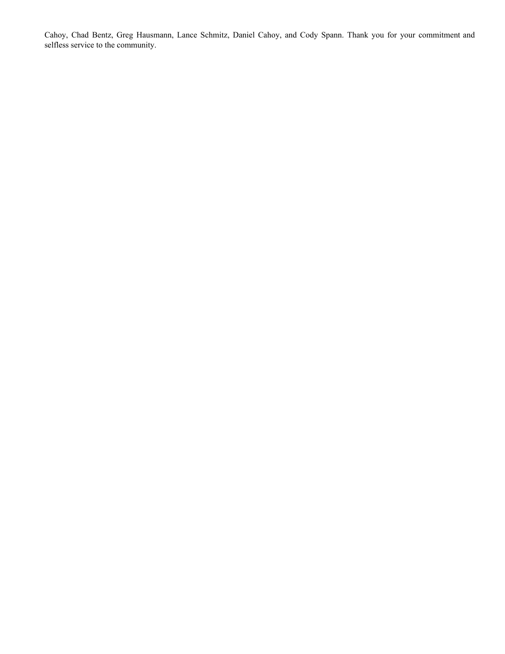Cahoy, Chad Bentz, Greg Hausmann, Lance Schmitz, Daniel Cahoy, and Cody Spann. Thank you for your commitment and selfless service to the community.